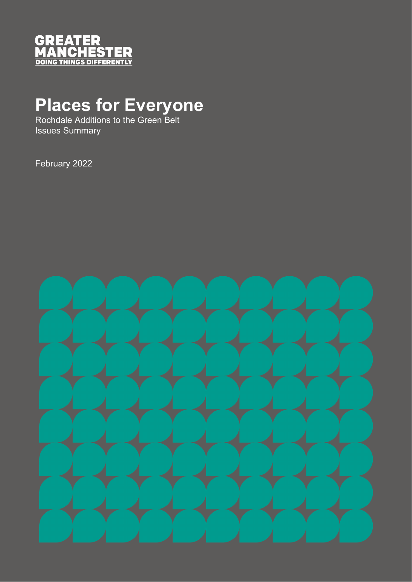

## **Places for Everyone**

Rochdale Additions to the Green Belt Issues Summary

February 2022

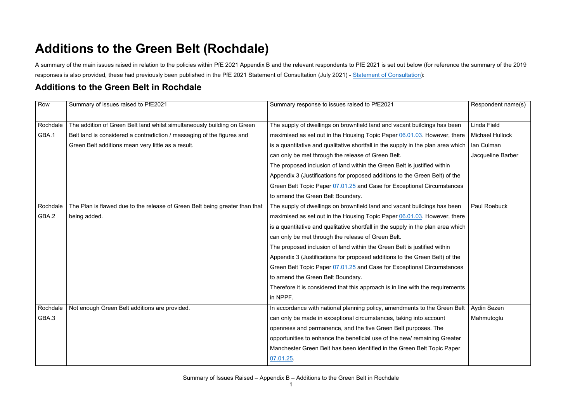A summary of the main issues raised in relation to the policies within PfE 2021 Appendix B and the relevant respondents to PfE 2021 is set out below (for reference the summary of the 2019 responses is also provided, these had previously been published in the PfE 2021 Statement of Consultation (July 2021) - [Statement of Consultation\)](https://www.greatermanchester-ca.gov.uk/GMCAFiles/PFE/Supporting%20documents/03%20Plan%20wide/03.05.01%20Statement%20of%20Consultation.pdf):

## **Additions to the Green Belt (Rochdale)**

## **Additions to the Green Belt in Rochdale**

| Row      | Summary of issues raised to PfE2021                                         | Summary response to issues raised to PfE2021                                     | Respondent name(s)     |
|----------|-----------------------------------------------------------------------------|----------------------------------------------------------------------------------|------------------------|
|          |                                                                             |                                                                                  |                        |
| Rochdale | The addition of Green Belt land whilst simultaneously building on Green     | The supply of dwellings on brownfield land and vacant buildings has been         | Linda Field            |
| GBA.1    | Belt land is considered a contradiction / massaging of the figures and      | maximised as set out in the Housing Topic Paper 06.01.03. However, there         | <b>Michael Hullock</b> |
|          | Green Belt additions mean very little as a result.                          | is a quantitative and qualitative shortfall in the supply in the plan area which | Ian Culman             |
|          |                                                                             | can only be met through the release of Green Belt.                               | Jacqueline Barber      |
|          |                                                                             | The proposed inclusion of land within the Green Belt is justified within         |                        |
|          |                                                                             | Appendix 3 (Justifications for proposed additions to the Green Belt) of the      |                        |
|          |                                                                             | Green Belt Topic Paper 07.01.25 and Case for Exceptional Circumstances           |                        |
|          |                                                                             | to amend the Green Belt Boundary.                                                |                        |
| Rochdale | The Plan is flawed due to the release of Green Belt being greater than that | The supply of dwellings on brownfield land and vacant buildings has been         | <b>Paul Roebuck</b>    |
| GBA.2    | being added.                                                                | maximised as set out in the Housing Topic Paper 06.01.03. However, there         |                        |
|          |                                                                             | is a quantitative and qualitative shortfall in the supply in the plan area which |                        |
|          |                                                                             | can only be met through the release of Green Belt.                               |                        |
|          |                                                                             | The proposed inclusion of land within the Green Belt is justified within         |                        |
|          |                                                                             | Appendix 3 (Justifications for proposed additions to the Green Belt) of the      |                        |
|          |                                                                             | Green Belt Topic Paper 07.01.25 and Case for Exceptional Circumstances           |                        |
|          |                                                                             | to amend the Green Belt Boundary.                                                |                        |
|          |                                                                             | Therefore it is considered that this approach is in line with the requirements   |                        |
|          |                                                                             | in NPPF.                                                                         |                        |
| Rochdale | Not enough Green Belt additions are provided.                               | In accordance with national planning policy, amendments to the Green Belt        | Aydin Sezen            |
| GBA.3    |                                                                             | can only be made in exceptional circumstances, taking into account               | Mahmutoglu             |
|          |                                                                             | openness and permanence, and the five Green Belt purposes. The                   |                        |
|          |                                                                             | opportunities to enhance the beneficial use of the new/ remaining Greater        |                        |
|          |                                                                             | Manchester Green Belt has been identified in the Green Belt Topic Paper          |                        |
|          |                                                                             | 07.01.25                                                                         |                        |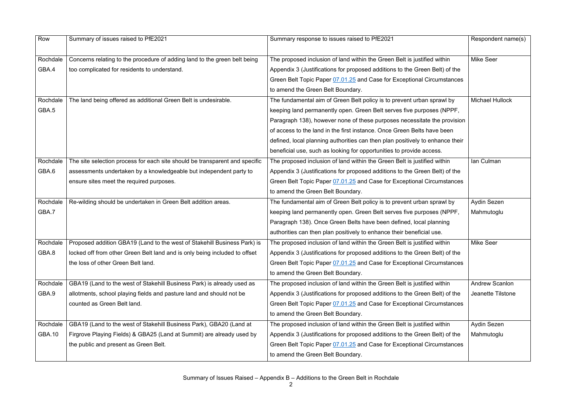| Row           | Summary of issues raised to PfE2021                                         | Summary response to issues raised to PfE2021                                  | Respondent name(s)     |
|---------------|-----------------------------------------------------------------------------|-------------------------------------------------------------------------------|------------------------|
|               |                                                                             |                                                                               |                        |
| Rochdale      | Concerns relating to the procedure of adding land to the green belt being   | The proposed inclusion of land within the Green Belt is justified within      | <b>Mike Seer</b>       |
| GBA.4         | too complicated for residents to understand.                                | Appendix 3 (Justifications for proposed additions to the Green Belt) of the   |                        |
|               |                                                                             | Green Belt Topic Paper 07.01.25 and Case for Exceptional Circumstances        |                        |
|               |                                                                             | to amend the Green Belt Boundary.                                             |                        |
| Rochdale      | The land being offered as additional Green Belt is undesirable.             | The fundamental aim of Green Belt policy is to prevent urban sprawl by        | <b>Michael Hullock</b> |
| GBA.5         |                                                                             | keeping land permanently open. Green Belt serves five purposes (NPPF,         |                        |
|               |                                                                             | Paragraph 138), however none of these purposes necessitate the provision      |                        |
|               |                                                                             | of access to the land in the first instance. Once Green Belts have been       |                        |
|               |                                                                             | defined, local planning authorities can then plan positively to enhance their |                        |
|               |                                                                             | beneficial use, such as looking for opportunities to provide access.          |                        |
| Rochdale      | The site selection process for each site should be transparent and specific | The proposed inclusion of land within the Green Belt is justified within      | Ian Culman             |
| GBA.6         | assessments undertaken by a knowledgeable but independent party to          | Appendix 3 (Justifications for proposed additions to the Green Belt) of the   |                        |
|               | ensure sites meet the required purposes.                                    | Green Belt Topic Paper 07.01.25 and Case for Exceptional Circumstances        |                        |
|               |                                                                             | to amend the Green Belt Boundary.                                             |                        |
| Rochdale      | Re-wilding should be undertaken in Green Belt addition areas.               | The fundamental aim of Green Belt policy is to prevent urban sprawl by        | Aydin Sezen            |
| GBA.7         |                                                                             | keeping land permanently open. Green Belt serves five purposes (NPPF,         | Mahmutoglu             |
|               |                                                                             | Paragraph 138). Once Green Belts have been defined, local planning            |                        |
|               |                                                                             | authorities can then plan positively to enhance their beneficial use.         |                        |
| Rochdale      | Proposed addition GBA19 (Land to the west of Stakehill Business Park) is    | The proposed inclusion of land within the Green Belt is justified within      | <b>Mike Seer</b>       |
| GBA.8         | locked off from other Green Belt land and is only being included to offset  | Appendix 3 (Justifications for proposed additions to the Green Belt) of the   |                        |
|               | the loss of other Green Belt land.                                          | Green Belt Topic Paper 07.01.25 and Case for Exceptional Circumstances        |                        |
|               |                                                                             | to amend the Green Belt Boundary.                                             |                        |
| Rochdale      | GBA19 (Land to the west of Stakehill Business Park) is already used as      | The proposed inclusion of land within the Green Belt is justified within      | <b>Andrew Scanlon</b>  |
| GBA.9         | allotments, school playing fields and pasture land and should not be        | Appendix 3 (Justifications for proposed additions to the Green Belt) of the   | Jeanette Tilstone      |
|               |                                                                             |                                                                               |                        |
|               | counted as Green Belt land.                                                 | Green Belt Topic Paper 07.01.25 and Case for Exceptional Circumstances        |                        |
|               |                                                                             | to amend the Green Belt Boundary.                                             |                        |
| Rochdale      | GBA19 (Land to the west of Stakehill Business Park), GBA20 (Land at         | The proposed inclusion of land within the Green Belt is justified within      | Aydin Sezen            |
| <b>GBA.10</b> | Firgrove Playing Fields) & GBA25 (Land at Summit) are already used by       | Appendix 3 (Justifications for proposed additions to the Green Belt) of the   | Mahmutoglu             |
|               | the public and present as Green Belt.                                       | Green Belt Topic Paper 07.01.25 and Case for Exceptional Circumstances        |                        |